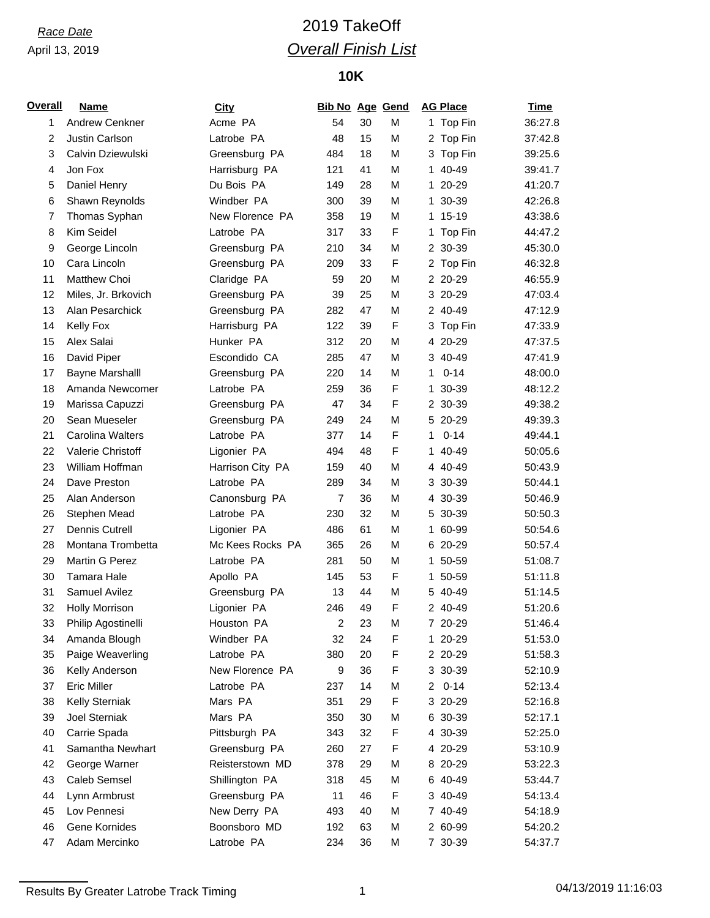### April 13, 2019

# *Race Date* 2019 TakeOff *Overall Finish List*

## **10K**

| <b>Overall</b> | <b>Name</b>            | <b>City</b>      | <b>Bib No Age Gend</b>  |    |   |    | <b>AG Place</b> | <b>Time</b> |
|----------------|------------------------|------------------|-------------------------|----|---|----|-----------------|-------------|
| 1              | Andrew Cenkner         | Acme PA          | 54                      | 30 | M |    | 1 Top Fin       | 36:27.8     |
| $\overline{c}$ | Justin Carlson         | Latrobe PA       | 48                      | 15 | M |    | 2 Top Fin       | 37:42.8     |
| 3              | Calvin Dziewulski      | Greensburg PA    | 484                     | 18 | M |    | 3 Top Fin       | 39:25.6     |
| 4              | Jon Fox                | Harrisburg PA    | 121                     | 41 | M |    | 1 40-49         | 39:41.7     |
| 5              | Daniel Henry           | Du Bois PA       | 149                     | 28 | M |    | 1 20-29         | 41:20.7     |
| 6              | Shawn Reynolds         | Windber PA       | 300                     | 39 | M |    | 1 30-39         | 42:26.8     |
| 7              | Thomas Syphan          | New Florence PA  | 358                     | 19 | M |    | 1 15-19         | 43:38.6     |
| 8              | Kim Seidel             | Latrobe PA       | 317                     | 33 | F |    | 1 Top Fin       | 44:47.2     |
| 9              | George Lincoln         | Greensburg PA    | 210                     | 34 | M |    | 2 30-39         | 45:30.0     |
| 10             | Cara Lincoln           | Greensburg PA    | 209                     | 33 | F |    | 2 Top Fin       | 46:32.8     |
| 11             | Matthew Choi           | Claridge PA      | 59                      | 20 | M |    | 2 20-29         | 46:55.9     |
| 12             | Miles, Jr. Brkovich    | Greensburg PA    | 39                      | 25 | M |    | 3 20-29         | 47:03.4     |
| 13             | Alan Pesarchick        | Greensburg PA    | 282                     | 47 | M |    | 2 40-49         | 47:12.9     |
| 14             | Kelly Fox              | Harrisburg PA    | 122                     | 39 | F |    | 3 Top Fin       | 47:33.9     |
| 15             | Alex Salai             | Hunker PA        | 312                     | 20 | M |    | 4 20-29         | 47:37.5     |
| 16             | David Piper            | Escondido CA     | 285                     | 47 | M |    | 3 40-49         | 47:41.9     |
| 17             | <b>Bayne Marshalll</b> | Greensburg PA    | 220                     | 14 | М | 1. | $0 - 14$        | 48:00.0     |
| 18             | Amanda Newcomer        | Latrobe PA       | 259                     | 36 | F |    | 1 30-39         | 48:12.2     |
| 19             | Marissa Capuzzi        | Greensburg PA    | 47                      | 34 | F |    | 2 30-39         | 49:38.2     |
| 20             | Sean Mueseler          | Greensburg PA    | 249                     | 24 | M |    | 5 20-29         | 49:39.3     |
| 21             | Carolina Walters       | Latrobe PA       | 377                     | 14 | F | 1  | $0 - 14$        | 49:44.1     |
| 22             | Valerie Christoff      | Ligonier PA      | 494                     | 48 | F |    | 1 40-49         | 50:05.6     |
| 23             | William Hoffman        | Harrison City PA | 159                     | 40 | M |    | 4 40-49         | 50:43.9     |
| 24             | Dave Preston           | Latrobe PA       | 289                     | 34 | M |    | 3 30-39         | 50:44.1     |
| 25             | Alan Anderson          | Canonsburg PA    | $\overline{7}$          | 36 | м |    | 4 30-39         | 50:46.9     |
| 26             | Stephen Mead           | Latrobe PA       | 230                     | 32 | M |    | 5 30-39         | 50:50.3     |
| 27             | Dennis Cutrell         | Ligonier PA      | 486                     | 61 | M |    | 1 60-99         | 50:54.6     |
| 28             | Montana Trombetta      | Mc Kees Rocks PA | 365                     | 26 | M |    | 6 20-29         | 50:57.4     |
| 29             | Martin G Perez         | Latrobe PA       | 281                     | 50 | М |    | 1 50-59         | 51:08.7     |
| 30             | Tamara Hale            | Apollo PA        | 145                     | 53 | F |    | 1 50-59         | 51:11.8     |
| 31             | Samuel Avilez          | Greensburg PA    | 13                      | 44 | М |    | 5 40-49         | 51:14.5     |
| 32             | <b>Holly Morrison</b>  | Ligonier PA      | 246                     | 49 | F |    | 2 40-49         | 51:20.6     |
| 33             | Philip Agostinelli     | Houston PA       | $\overline{\mathbf{c}}$ | 23 | М |    | 7 20-29         | 51:46.4     |
| 34             | Amanda Blough          | Windber PA       | 32                      | 24 | F |    | 1 20-29         | 51:53.0     |
| 35             | Paige Weaverling       | Latrobe PA       | 380                     | 20 | F |    | 2 20-29         | 51:58.3     |
| 36             | Kelly Anderson         | New Florence PA  | 9                       | 36 | F |    | 3 30-39         | 52:10.9     |
| 37             | <b>Eric Miller</b>     | Latrobe PA       | 237                     | 14 | M | 2  | $0 - 14$        | 52:13.4     |
| 38             | Kelly Sterniak         | Mars PA          | 351                     | 29 | F |    | 3 20-29         | 52:16.8     |
| 39             | <b>Joel Sterniak</b>   | Mars PA          | 350                     | 30 | M |    | 6 30-39         | 52:17.1     |
| 40             | Carrie Spada           | Pittsburgh PA    | 343                     | 32 | F |    | 4 30-39         | 52:25.0     |
| 41             | Samantha Newhart       | Greensburg PA    | 260                     | 27 | F |    | 4 20-29         | 53:10.9     |
| 42             | George Warner          | Reisterstown MD  | 378                     | 29 | M |    | 8 20-29         | 53:22.3     |
| 43             | Caleb Semsel           | Shillington PA   | 318                     | 45 | M |    | 6 40-49         | 53:44.7     |
| 44             | Lynn Armbrust          | Greensburg PA    | 11                      | 46 | F |    | 3 40-49         | 54:13.4     |
| 45             | Lov Pennesi            | New Derry PA     | 493                     | 40 | M |    | 7 40-49         | 54:18.9     |
| 46             | Gene Kornides          | Boonsboro MD     | 192                     | 63 | M |    | 2 60-99         | 54:20.2     |
| 47             | Adam Mercinko          | Latrobe PA       | 234                     | 36 | М |    | 7 30-39         | 54:37.7     |

Results By Greater Latrobe Track Timing 1 04/13/2019 11:16:03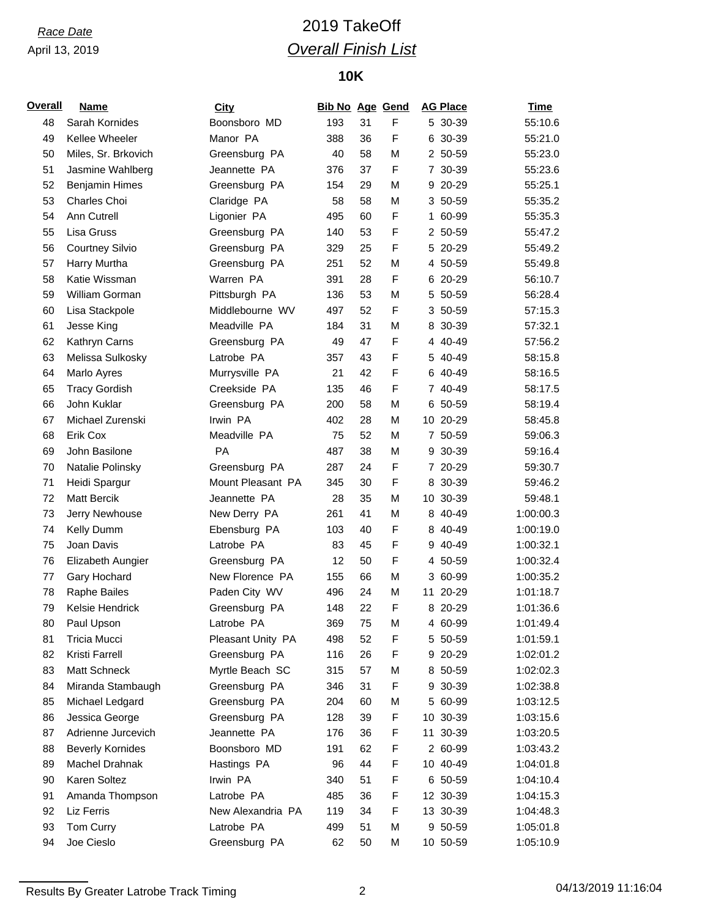### April 13, 2019

# *Race Date* 2019 TakeOff *Overall Finish List*

## **10K**

| <b>Overall</b> | <b>Name</b>             | <b>City</b>       | <b>Bib No Age Gend</b> |    |   | <b>AG Place</b> | <b>Time</b> |
|----------------|-------------------------|-------------------|------------------------|----|---|-----------------|-------------|
| 48             | Sarah Kornides          | Boonsboro MD      | 193                    | 31 | F | 5 30-39         | 55:10.6     |
| 49             | Kellee Wheeler          | Manor PA          | 388                    | 36 | F | 6 30-39         | 55:21.0     |
| 50             | Miles, Sr. Brkovich     | Greensburg PA     | 40                     | 58 | M | 2 50-59         | 55:23.0     |
| 51             | Jasmine Wahlberg        | Jeannette PA      | 376                    | 37 | F | 7 30-39         | 55:23.6     |
| 52             | <b>Benjamin Himes</b>   | Greensburg PA     | 154                    | 29 | M | 9 20-29         | 55:25.1     |
| 53             | Charles Choi            | Claridge PA       | 58                     | 58 | M | 3 50-59         | 55:35.2     |
| 54             | Ann Cutrell             | Ligonier PA       | 495                    | 60 | F | 1 60-99         | 55:35.3     |
| 55             | Lisa Gruss              | Greensburg PA     | 140                    | 53 | F | 2 50-59         | 55:47.2     |
| 56             | <b>Courtney Silvio</b>  | Greensburg PA     | 329                    | 25 | F | 5 20-29         | 55:49.2     |
| 57             | Harry Murtha            | Greensburg PA     | 251                    | 52 | M | 4 50-59         | 55:49.8     |
| 58             | Katie Wissman           | Warren PA         | 391                    | 28 | F | 6 20-29         | 56:10.7     |
| 59             | William Gorman          | Pittsburgh PA     | 136                    | 53 | M | 5 50-59         | 56:28.4     |
| 60             | Lisa Stackpole          | Middlebourne WV   | 497                    | 52 | F | 3 50-59         | 57:15.3     |
| 61             | Jesse King              | Meadville PA      | 184                    | 31 | M | 8 30-39         | 57:32.1     |
| 62             | Kathryn Carns           | Greensburg PA     | 49                     | 47 | F | 4 40-49         | 57:56.2     |
| 63             | Melissa Sulkosky        | Latrobe PA        | 357                    | 43 | F | 5 40-49         | 58:15.8     |
| 64             | Marlo Ayres             | Murrysville PA    | 21                     | 42 | F | 6 40-49         | 58:16.5     |
| 65             | <b>Tracy Gordish</b>    | Creekside PA      | 135                    | 46 | F | 7 40-49         | 58:17.5     |
| 66             | John Kuklar             | Greensburg PA     | 200                    | 58 | M | 6 50-59         | 58:19.4     |
| 67             | Michael Zurenski        | Irwin PA          | 402                    | 28 | M | 10 20-29        | 58:45.8     |
| 68             | Erik Cox                | Meadville PA      | 75                     | 52 | M | 7 50-59         | 59:06.3     |
| 69             | John Basilone           | <b>PA</b>         | 487                    | 38 | M | 9 30-39         | 59:16.4     |
| 70             | Natalie Polinsky        | Greensburg PA     | 287                    | 24 | F | 7 20-29         | 59:30.7     |
| 71             | Heidi Spargur           | Mount Pleasant PA | 345                    | 30 | F | 8 30-39         | 59:46.2     |
| 72             | Matt Bercik             | Jeannette PA      | 28                     | 35 | M | 10 30-39        | 59:48.1     |
| 73             | Jerry Newhouse          | New Derry PA      | 261                    | 41 | M | 8 40-49         | 1:00:00.3   |
| 74             | Kelly Dumm              | Ebensburg PA      | 103                    | 40 | F | 8 40-49         | 1:00:19.0   |
| 75             | Joan Davis              | Latrobe PA        | 83                     | 45 | F | 9 40-49         | 1:00:32.1   |
| 76             | Elizabeth Aungier       | Greensburg PA     | 12                     | 50 | F | 4 50-59         | 1:00:32.4   |
| 77             | Gary Hochard            | New Florence PA   | 155                    | 66 | M | 3 60-99         | 1:00:35.2   |
| 78             | Raphe Bailes            | Paden City WV     | 496                    | 24 | M | 11 20-29        | 1:01:18.7   |
| 79             | Kelsie Hendrick         | Greensburg PA     | 148                    | 22 | F | 8 20-29         | 1:01:36.6   |
| 80             | Paul Upson              | Latrobe PA        | 369                    | 75 | M | 4 60-99         | 1:01:49.4   |
| 81             | Tricia Mucci            | Pleasant Unity PA | 498                    | 52 | F | 5 50-59         | 1:01:59.1   |
| 82             | Kristi Farrell          | Greensburg PA     | 116                    | 26 | F | 9 20-29         | 1:02:01.2   |
| 83             | Matt Schneck            | Myrtle Beach SC   | 315                    | 57 | M | 8 50-59         | 1:02:02.3   |
| 84             | Miranda Stambaugh       | Greensburg PA     | 346                    | 31 | F | 9 30-39         | 1:02:38.8   |
| 85             | Michael Ledgard         | Greensburg PA     | 204                    | 60 | М | 5 60-99         | 1:03:12.5   |
| 86             | Jessica George          | Greensburg PA     | 128                    | 39 | F | 10 30-39        | 1:03:15.6   |
| 87             | Adrienne Jurcevich      | Jeannette PA      | 176                    | 36 | F | 11 30-39        | 1:03:20.5   |
| 88             | <b>Beverly Kornides</b> | Boonsboro MD      | 191                    | 62 | F | 2 60-99         | 1:03:43.2   |
| 89             | Machel Drahnak          | Hastings PA       | 96                     | 44 | F | 10 40-49        | 1:04:01.8   |
| 90             | Karen Soltez            | Irwin PA          | 340                    | 51 | F | 6 50-59         | 1:04:10.4   |
| 91             | Amanda Thompson         | Latrobe PA        | 485                    | 36 | F | 12 30-39        | 1:04:15.3   |
| 92             | Liz Ferris              | New Alexandria PA | 119                    | 34 | F | 13 30-39        | 1:04:48.3   |
| 93             | Tom Curry               | Latrobe PA        | 499                    | 51 | M | 9 50-59         | 1:05:01.8   |
| 94             | Joe Cieslo              | Greensburg PA     | 62                     | 50 | M | 10 50-59        | 1:05:10.9   |
|                |                         |                   |                        |    |   |                 |             |

Results By Greater Latrobe Track Timing 2 04/13/2019 11:16:04